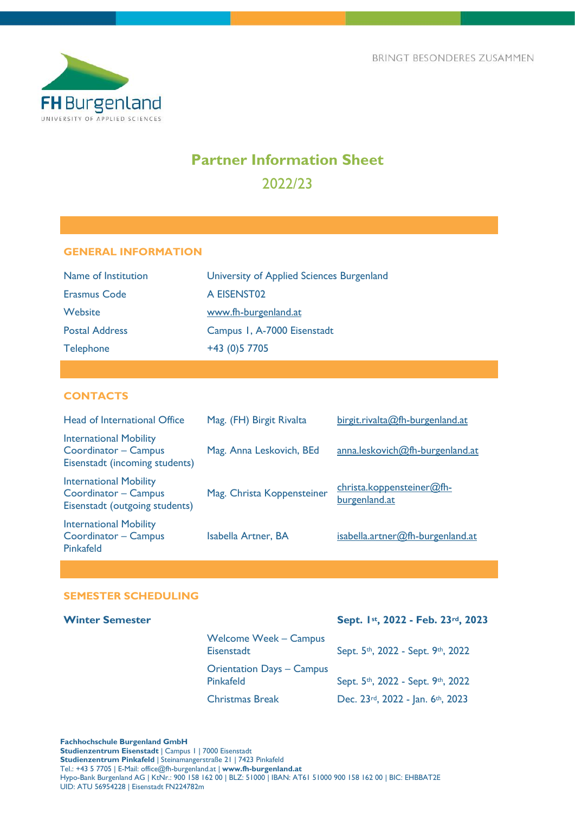

# **Partner Information Sheet** 2022/23

# **GENERAL INFORMATION**

| Name of Institution   | University of Applied Sciences Burgenland |
|-----------------------|-------------------------------------------|
| <b>Erasmus Code</b>   | A EISENST02                               |
| Website               | www.fh-burgenland.at                      |
| <b>Postal Address</b> | Campus 1, A-7000 Eisenstadt               |
| <b>Telephone</b>      | +43 (0) 5 770 5                           |

# **CONTACTS**

| Head of International Office                                                            | Mag. (FH) Birgit Rivalta   | birgit.rivalta@fh-burgenland.at            |
|-----------------------------------------------------------------------------------------|----------------------------|--------------------------------------------|
| <b>International Mobility</b><br>Coordinator - Campus<br>Eisenstadt (incoming students) | Mag. Anna Leskovich, BEd   | anna.leskovich@fh-burgenland.at            |
| <b>International Mobility</b><br>Coordinator - Campus<br>Eisenstadt (outgoing students) | Mag. Christa Koppensteiner | christa.koppensteiner@fh-<br>burgenland.at |
| <b>International Mobility</b><br>Coordinator - Campus<br><b>Pinkafeld</b>               | <b>Isabella Artner, BA</b> | isabella.artner@fh-burgenland.at           |

# **SEMESTER SCHEDULING**

# **Winter Semester Sept. 1st, 2022 - Feb. 23rd, 2023**

| <b>Welcome Week - Campus</b><br>Eisenstadt           | Sept. 5th, 2022 - Sept. 9th, 2022 |
|------------------------------------------------------|-----------------------------------|
| <b>Orientation Days - Campus</b><br><b>Pinkafeld</b> | Sept. 5th, 2022 - Sept. 9th, 2022 |
| <b>Christmas Break</b>                               | Dec. 23rd, 2022 - Jan. 6th, 2023  |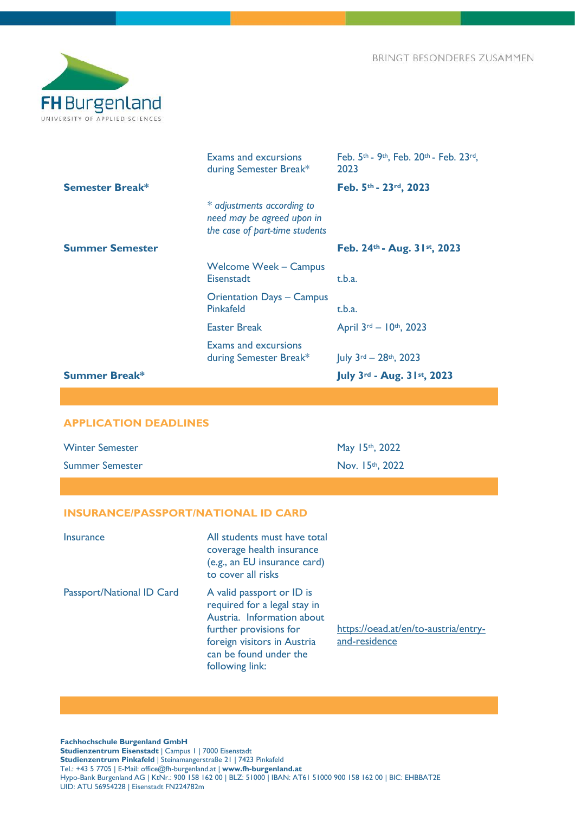

|                        | <b>Exams and excursions</b><br>during Semester Break*                                      | Feb. $5th$ - 9 <sup>th</sup> , Feb. 20 <sup>th</sup> - Feb. 23 <sup>rd</sup> ,<br>2023 |
|------------------------|--------------------------------------------------------------------------------------------|----------------------------------------------------------------------------------------|
| <b>Semester Break*</b> |                                                                                            | Feb. 5th - 23rd, 2023                                                                  |
|                        | * adjustments according to<br>need may be agreed upon in<br>the case of part-time students |                                                                                        |
| <b>Summer Semester</b> |                                                                                            | Feb. 24th - Aug. 31st, 2023                                                            |
|                        | <b>Welcome Week – Campus</b><br>Eisenstadt                                                 | t.b.a.                                                                                 |
|                        | <b>Orientation Days - Campus</b><br>Pinkafeld                                              | t.b.a.                                                                                 |
|                        | <b>Easter Break</b>                                                                        | April 3rd - 10th, 2023                                                                 |
|                        | <b>Exams and excursions</b><br>during Semester Break*                                      | $ $ uly 3 <sup>rd</sup> - 28 <sup>th</sup> , 2023                                      |
| <b>Summer Break*</b>   |                                                                                            | July 3rd - Aug. $31st$ , 2023                                                          |

# **APPLICATION DEADLINES**

| <b>Winter Semester</b> | May 15th, 2022     |
|------------------------|--------------------|
| <b>Summer Semester</b> | Nov. $15th$ , 2022 |

# **INSURANCE/PASSPORT/NATIONAL ID CARD**

| Insurance                 | All students must have total<br>coverage health insurance<br>(e.g., an EU insurance card)<br>to cover all risks                                                                               |                                                       |
|---------------------------|-----------------------------------------------------------------------------------------------------------------------------------------------------------------------------------------------|-------------------------------------------------------|
| Passport/National ID Card | A valid passport or ID is<br>required for a legal stay in<br>Austria. Information about<br>further provisions for<br>foreign visitors in Austria<br>can be found under the<br>following link: | https://oead.at/en/to-austria/entry-<br>and-residence |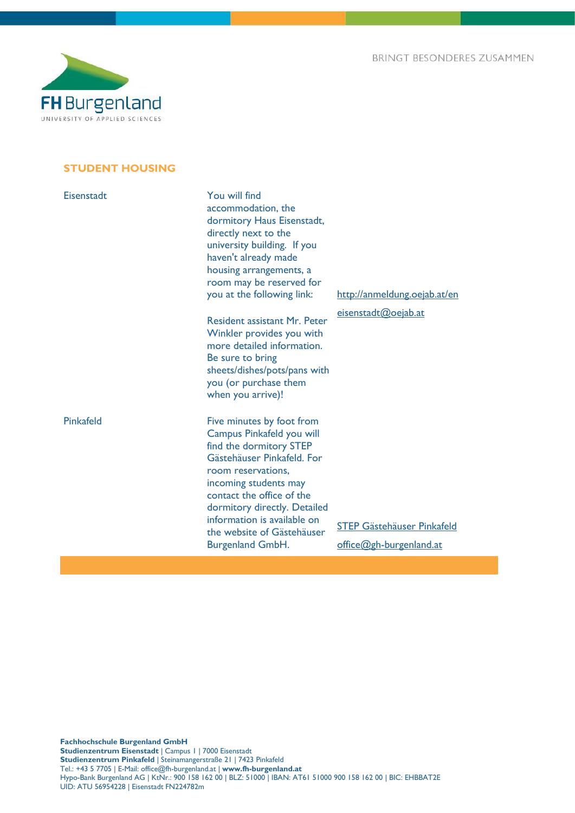

# **STUDENT HOUSING**

| Eisenstadt | You will find<br>accommodation, the<br>dormitory Haus Eisenstadt,<br>directly next to the<br>university building. If you<br>haven't already made<br>housing arrangements, a<br>room may be reserved for<br>you at the following link:                                                                               | http://anmeldung.oejab.at/en                                 |
|------------|---------------------------------------------------------------------------------------------------------------------------------------------------------------------------------------------------------------------------------------------------------------------------------------------------------------------|--------------------------------------------------------------|
|            | <b>Resident assistant Mr. Peter</b><br>Winkler provides you with<br>more detailed information.<br>Be sure to bring<br>sheets/dishes/pots/pans with<br>you (or purchase them<br>when you arrive)!                                                                                                                    | eisenstadt@oejab.at                                          |
| Pinkafeld  | Five minutes by foot from<br>Campus Pinkafeld you will<br>find the dormitory STEP<br>Gästehäuser Pinkafeld. For<br>room reservations,<br>incoming students may<br>contact the office of the<br>dormitory directly. Detailed<br>information is available on<br>the website of Gästehäuser<br><b>Burgenland GmbH.</b> | <b>STEP Gästehäuser Pinkafeld</b><br>office@gh-burgenland.at |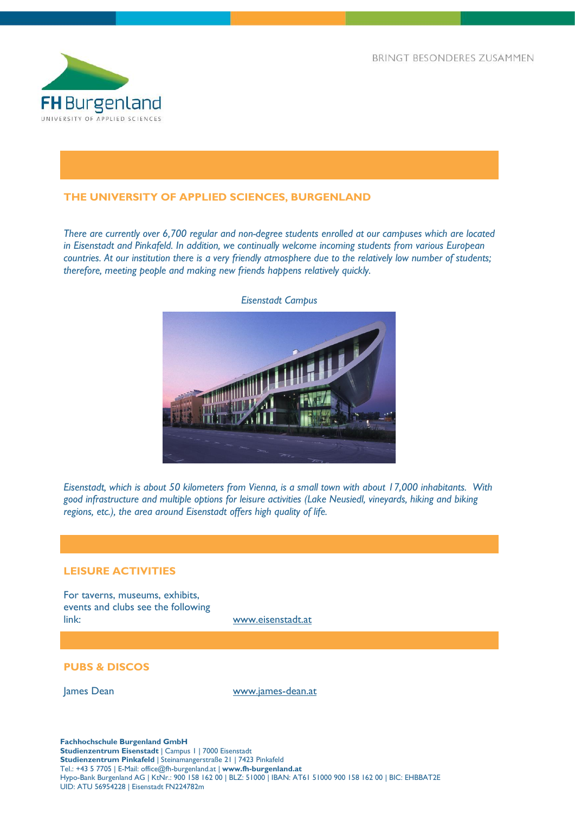

# **THE UNIVERSITY OF APPLIED SCIENCES, BURGENLAND**

*There are currently over 6,700 regular and non-degree students enrolled at our campuses which are located in Eisenstadt and Pinkafeld. In addition, we continually welcome incoming students from various European countries. At our institution there is a very friendly atmosphere due to the relatively low number of students; therefore, meeting people and making new friends happens relatively quickly.*



*Eisenstadt Campus*

*Eisenstadt, which is about 50 kilometers from Vienna, is a small town with about 17,000 inhabitants. With good infrastructure and multiple options for leisure activities (Lake Neusiedl, vineyards, hiking and biking regions, etc.), the area around Eisenstadt offers high quality of life.* 

### **LEISURE ACTIVITIES**

For taverns, museums, exhibits, events and clubs see the following link: [www.eisenstadt.at](http://www.eisenstadt.at/)

## **PUBS & DISCOS**

James Dean [www.james-dean.at](http://www.james-dean.at/)

**Fachhochschule Burgenland GmbH Studienzentrum Eisenstadt** | Campus 1 | 7000 Eisenstadt **Studienzentrum Pinkafeld** | Steinamangerstraße 21 | 7423 Pinkafeld Tel.: +43 5 7705 | E-Mail: office@fh-burgenland.at | **www.fh-burgenland.at** Hypo-Bank Burgenland AG | KtNr.: 900 158 162 00 | BLZ: 51000 | IBAN: AT61 51000 900 158 162 00 | BIC: EHBBAT2E UID: ATU 56954228 | Eisenstadt FN224782m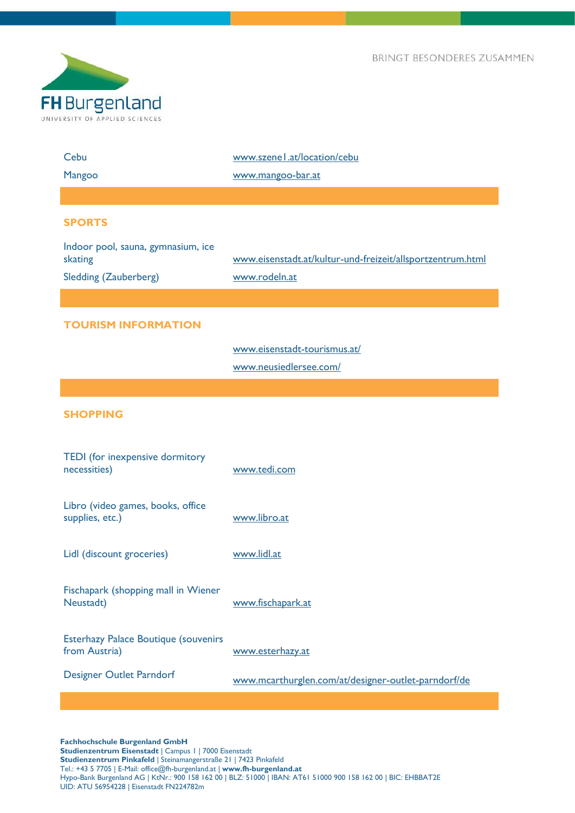

| Cebu                                                         | www.szenel.at/location/cebu                                |
|--------------------------------------------------------------|------------------------------------------------------------|
| Mangoo                                                       | www.mangoo-bar.at                                          |
|                                                              |                                                            |
| <b>SPORTS</b>                                                |                                                            |
| Indoor pool, sauna, gymnasium, ice<br>skating                | www.eisenstadt.at/kultur-und-freizeit/allsportzentrum.html |
| <b>Sledding (Zauberberg)</b>                                 | www.rodeln.at                                              |
|                                                              |                                                            |
| <b>TOURISM INFORMATION</b>                                   |                                                            |
|                                                              | www.eisenstadt-tourismus.at/                               |
|                                                              | www.neusiedlersee.com/                                     |
|                                                              |                                                            |
| <b>SHOPPING</b>                                              |                                                            |
| TEDI (for inexpensive dormitory<br>necessities)              | www.tedi.com                                               |
| Libro (video games, books, office<br>supplies, etc.)         | www.libro.at                                               |
| Lidl (discount groceries)                                    | www.lidl.at                                                |
| Fischapark (shopping mall in Wiener<br>Neustadt)             | www.fischapark.at                                          |
| <b>Esterhazy Palace Boutique (souvenirs</b><br>from Austria) | www.esterhazy.at                                           |
| <b>Designer Outlet Parndorf</b>                              | www.mcarthurglen.com/at/designer-outlet-parndorf/de        |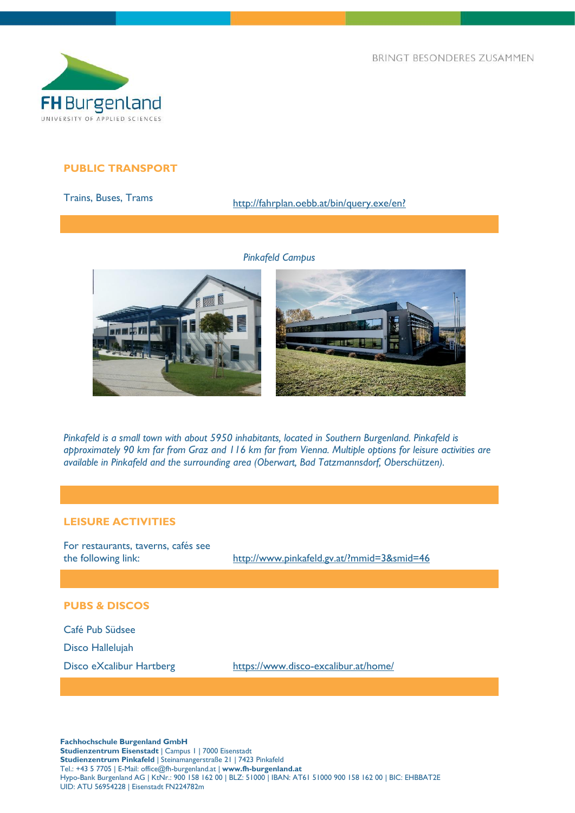

# **PUBLIC TRANSPORT**

# Trains, Buses, Trams http://fahrplan.oebb.at/bin/query.exe/en?

*Pinkafeld Campus*





*Pinkafeld is a small town with about 5950 inhabitants, located in Southern Burgenland. Pinkafeld is approximately 90 km far from Graz and 116 km far from Vienna. Multiple options for leisure activities are available in Pinkafeld and the surrounding area (Oberwart, Bad Tatzmannsdorf, Oberschützen).*

# **LEISURE ACTIVITIES**

For restaurants, taverns, cafés see

the following link: <http://www.pinkafeld.gv.at/?mmid=3&smid=46>

#### **PUBS & DISCOS**

Café Pub Südsee Disco Hallelujah

Disco eXcalibur Hartberg <https://www.disco-excalibur.at/home/>